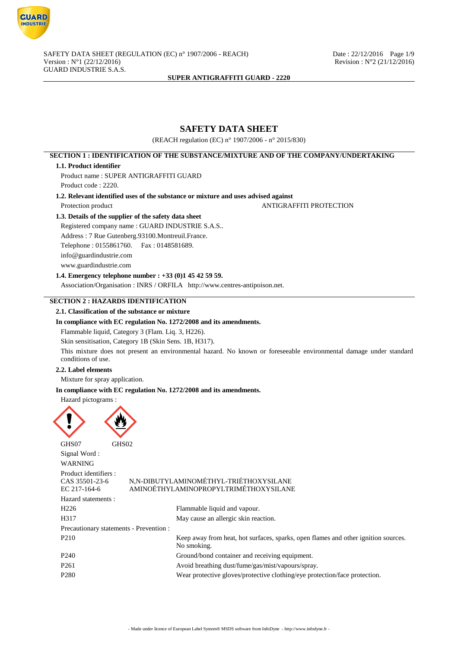

# **SAFETY DATA SHEET**

(REACH regulation (EC) n° 1907/2006 - n° 2015/830)

## **SECTION 1 : IDENTIFICATION OF THE SUBSTANCE/MIXTURE AND OF THE COMPANY/UNDERTAKING**

### **1.1. Product identifier**

Product name : SUPER ANTIGRAFFITI GUARD Product code : 2220.

**1.2. Relevant identified uses of the substance or mixture and uses advised against**

Protection product ANTIGRAFFITI PROTECTION

## **1.3. Details of the supplier of the safety data sheet**

Registered company name : GUARD INDUSTRIE S.A.S.. Address : 7 Rue Gutenberg.93100.Montreuil.France. Telephone : 0155861760. Fax : 0148581689. info@guardindustrie.com www.guardindustrie.com

## **1.4. Emergency telephone number : +33 (0)1 45 42 59 59.**

Association/Organisation : INRS / ORFILA http://www.centres-antipoison.net.

## **SECTION 2 : HAZARDS IDENTIFICATION**

## **2.1. Classification of the substance or mixture**

## **In compliance with EC regulation No. 1272/2008 and its amendments.**

Flammable liquid, Category 3 (Flam. Liq. 3, H226).

Skin sensitisation, Category 1B (Skin Sens. 1B, H317).

This mixture does not present an environmental hazard. No known or foreseeable environmental damage under standard conditions of use.

## **2.2. Label elements**

Mixture for spray application.

### **In compliance with EC regulation No. 1272/2008 and its amendments.**

### Hazard pictograms :



GHS07 GHS02 Signal Word : WARNING Product identifiers : CAS 35501-23-6 N,N-DIBUTYLAMINOMÉTHYL-TRIÉTHOXYSILANE EC 217-164-6 AMINOÉTHYLAMINOPROPYLTRIMÉTHOXYSILANE Hazard statements : H226 Flammable liquid and vapour. H317 May cause an allergic skin reaction. Precautionary statements - Prevention : P210 Keep away from heat, hot surfaces, sparks, open flames and other ignition sources. No smoking. P240 Ground/bond container and receiving equipment. P261 Avoid breathing dust/fume/gas/mist/vapours/spray. P280 Wear protective gloves/protective clothing/eye protection/face protection.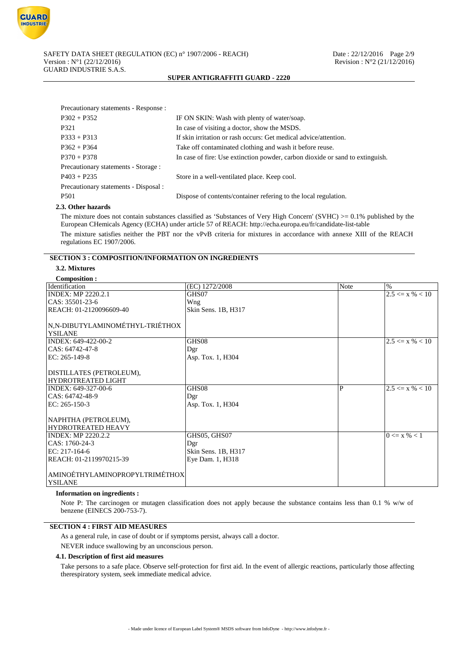

| Precautionary statements - Response : |                                                                               |
|---------------------------------------|-------------------------------------------------------------------------------|
| $P302 + P352$                         | IF ON SKIN: Wash with plenty of water/soap.                                   |
| P321                                  | In case of visiting a doctor, show the MSDS.                                  |
| $P333 + P313$                         | If skin irritation or rash occurs: Get medical advice/attention.              |
| $P362 + P364$                         | Take off contaminated clothing and wash it before reuse.                      |
| $P370 + P378$                         | In case of fire: Use extinction powder, carbon dioxide or sand to extinguish. |
| Precautionary statements - Storage :  |                                                                               |
| $P403 + P235$                         | Store in a well-ventilated place. Keep cool.                                  |
| Precautionary statements - Disposal : |                                                                               |
| P <sub>501</sub>                      | Dispose of contents/container refering to the local regulation.               |
|                                       |                                                                               |

## **2.3. Other hazards**

The mixture does not contain substances classified as 'Substances of Very High Concern' (SVHC)  $\geq 0.1\%$  published by the European CHemicals Agency (ECHA) under article 57 of REACH: http://echa.europa.eu/fr/candidate-list-table The mixture satisfies neither the PBT nor the vPvB criteria for mixtures in accordance with annexe XIII of the REACH regulations EC 1907/2006.

## **SECTION 3 : COMPOSITION/INFORMATION ON INGREDIENTS**

## **3.2. Mixtures**

### **Composition :**

| Composition:                    |                     |      |                     |
|---------------------------------|---------------------|------|---------------------|
| Identification                  | (EC) 1272/2008      | Note | $\%$                |
| <b>INDEX: MP 2220.2.1</b>       | GHS07               |      | $2.5 \le x \% < 10$ |
| CAS: 35501-23-6                 | Wng                 |      |                     |
| REACH: 01-2120096609-40         | Skin Sens. 1B, H317 |      |                     |
|                                 |                     |      |                     |
| N,N-DIBUTYLAMINOMÉTHYL-TRIÉTHOX |                     |      |                     |
| <b>YSILANE</b>                  |                     |      |                     |
| INDEX: 649-422-00-2             | GHS08               |      | $2.5 \le x \% < 10$ |
| CAS: 64742-47-8                 | Dgr                 |      |                     |
| $EC: 265-149-8$                 | Asp. Tox. 1, H304   |      |                     |
|                                 |                     |      |                     |
| DISTILLATES (PETROLEUM),        |                     |      |                     |
| <b>HYDROTREATED LIGHT</b>       |                     |      |                     |
| INDEX: 649-327-00-6             | GHS08               | P    | $2.5 \le x \% < 10$ |
| CAS: 64742-48-9                 | Dgr                 |      |                     |
| EC: $265-150-3$                 | Asp. Tox. 1, H304   |      |                     |
|                                 |                     |      |                     |
| NAPHTHA (PETROLEUM),            |                     |      |                     |
| <b>HYDROTREATED HEAVY</b>       |                     |      |                     |
| <b>INDEX: MP 2220.2.2</b>       | GHS05, GHS07        |      | $0 \le x \% < 1$    |
| CAS: 1760-24-3                  | Dgr                 |      |                     |
| EC: 217-164-6                   | Skin Sens. 1B, H317 |      |                     |
| REACH: 01-2119970215-39         | Eye Dam. 1, H318    |      |                     |
|                                 |                     |      |                     |
| AMINOÉTHYLAMINOPROPYLTRIMÉTHOX  |                     |      |                     |
| <b>YSILANE</b>                  |                     |      |                     |
|                                 |                     |      |                     |

### **Information on ingredients :**

Note P: The carcinogen or mutagen classification does not apply because the substance contains less than 0.1 % w/w of benzene (EINECS 200-753-7).

## **SECTION 4 : FIRST AID MEASURES**

As a general rule, in case of doubt or if symptoms persist, always call a doctor.

NEVER induce swallowing by an unconscious person.

### **4.1. Description of first aid measures**

Take persons to a safe place. Observe self-protection for first aid. In the event of allergic reactions, particularly those affecting therespiratory system, seek immediate medical advice.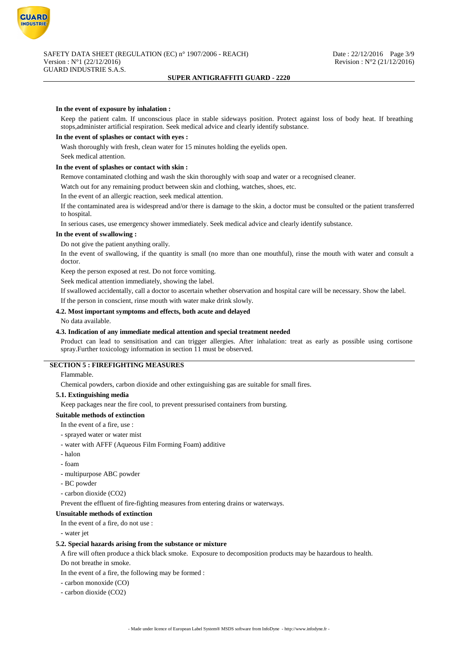

## **In the event of exposure by inhalation :**

Keep the patient calm. If unconscious place in stable sideways position. Protect against loss of body heat. If breathing stops,administer artificial respiration. Seek medical advice and clearly identify substance.

### **In the event of splashes or contact with eyes :**

Wash thoroughly with fresh, clean water for 15 minutes holding the eyelids open.

# Seek medical attention.

## **In the event of splashes or contact with skin :**

Remove contaminated clothing and wash the skin thoroughly with soap and water or a recognised cleaner.

Watch out for any remaining product between skin and clothing, watches, shoes, etc.

In the event of an allergic reaction, seek medical attention.

If the contaminated area is widespread and/or there is damage to the skin, a doctor must be consulted or the patient transferred to hospital.

In serious cases, use emergency shower immediately. Seek medical advice and clearly identify substance.

#### **In the event of swallowing :**

Do not give the patient anything orally.

In the event of swallowing, if the quantity is small (no more than one mouthful), rinse the mouth with water and consult a doctor.

Keep the person exposed at rest. Do not force vomiting.

Seek medical attention immediately, showing the label.

If swallowed accidentally, call a doctor to ascertain whether observation and hospital care will be necessary. Show the label. If the person in conscient, rinse mouth with water make drink slowly.

## **4.2. Most important symptoms and effects, both acute and delayed**

No data available.

### **4.3. Indication of any immediate medical attention and special treatment needed**

Product can lead to sensitisation and can trigger allergies. After inhalation: treat as early as possible using cortisone spray.Further toxicology information in section 11 must be observed.

## **SECTION 5 : FIREFIGHTING MEASURES**

#### Flammable.

Chemical powders, carbon dioxide and other extinguishing gas are suitable for small fires.

#### **5.1. Extinguishing media**

Keep packages near the fire cool, to prevent pressurised containers from bursting.

#### **Suitable methods of extinction**

In the event of a fire, use :

- sprayed water or water mist
- water with AFFF (Aqueous Film Forming Foam) additive
- halon
- foam
- multipurpose ABC powder
- BC powder
- carbon dioxide (CO2)

Prevent the effluent of fire-fighting measures from entering drains or waterways.

### **Unsuitable methods of extinction**

In the event of a fire, do not use :

### - water jet

#### **5.2. Special hazards arising from the substance or mixture**

A fire will often produce a thick black smoke. Exposure to decomposition products may be hazardous to health. Do not breathe in smoke.

In the event of a fire, the following may be formed :

- carbon monoxide (CO)

- carbon dioxide (CO2)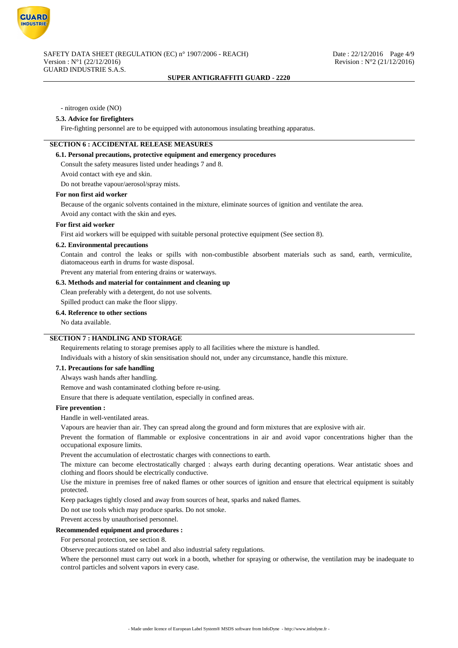

### - nitrogen oxide (NO)

#### **5.3. Advice for firefighters**

Fire-fighting personnel are to be equipped with autonomous insulating breathing apparatus.

## **SECTION 6 : ACCIDENTAL RELEASE MEASURES**

## **6.1. Personal precautions, protective equipment and emergency procedures**

Consult the safety measures listed under headings 7 and 8.

Avoid contact with eye and skin.

Do not breathe vapour/aerosol/spray mists.

#### **For non first aid worker**

Because of the organic solvents contained in the mixture, eliminate sources of ignition and ventilate the area.

Avoid any contact with the skin and eyes.

### **For first aid worker**

First aid workers will be equipped with suitable personal protective equipment (See section 8).

#### **6.2. Environmental precautions**

Contain and control the leaks or spills with non-combustible absorbent materials such as sand, earth, vermiculite, diatomaceous earth in drums for waste disposal.

Prevent any material from entering drains or waterways.

### **6.3. Methods and material for containment and cleaning up**

Clean preferably with a detergent, do not use solvents.

Spilled product can make the floor slippy.

### **6.4. Reference to other sections**

No data available.

## **SECTION 7 : HANDLING AND STORAGE**

Requirements relating to storage premises apply to all facilities where the mixture is handled.

Individuals with a history of skin sensitisation should not, under any circumstance, handle this mixture.

## **7.1. Precautions for safe handling**

Always wash hands after handling.

Remove and wash contaminated clothing before re-using.

Ensure that there is adequate ventilation, especially in confined areas.

## **Fire prevention :**

Handle in well-ventilated areas.

Vapours are heavier than air. They can spread along the ground and form mixtures that are explosive with air.

Prevent the formation of flammable or explosive concentrations in air and avoid vapor concentrations higher than the occupational exposure limits.

Prevent the accumulation of electrostatic charges with connections to earth.

The mixture can become electrostatically charged : always earth during decanting operations. Wear antistatic shoes and clothing and floors should be electrically conductive.

Use the mixture in premises free of naked flames or other sources of ignition and ensure that electrical equipment is suitably protected.

Keep packages tightly closed and away from sources of heat, sparks and naked flames.

Do not use tools which may produce sparks. Do not smoke.

Prevent access by unauthorised personnel.

### **Recommended equipment and procedures :**

For personal protection, see section 8.

Observe precautions stated on label and also industrial safety regulations.

Where the personnel must carry out work in a booth, whether for spraying or otherwise, the ventilation may be inadequate to control particles and solvent vapors in every case.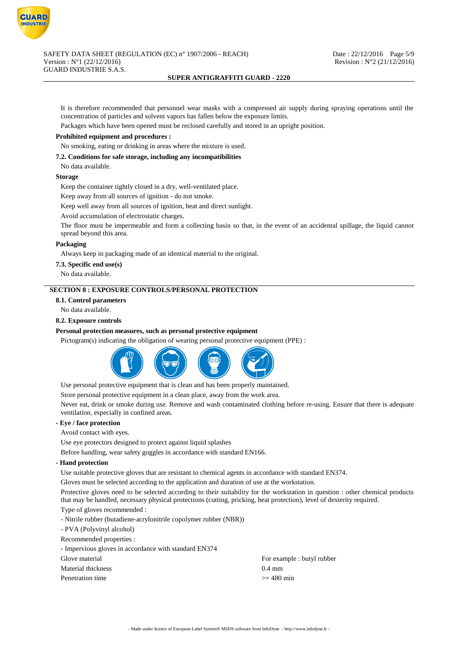

It is therefore recommended that personnel wear masks with a compressed air supply during spraying operations until the concentration of particles and solvent vapors has fallen below the exposure limits.

Packages which have been opened must be reclosed carefully and stored in an upright position.

## **Prohibited equipment and procedures :**

No smoking, eating or drinking in areas where the mixture is used.

### **7.2. Conditions for safe storage, including any incompatibilities**

No data available.

#### **Storage**

Keep the container tightly closed in a dry, well-ventilated place.

Keep away from all sources of ignition - do not smoke.

Keep well away from all sources of ignition, heat and direct sunlight.

Avoid accumulation of electrostatic charges.

The floor must be impermeable and form a collecting basin so that, in the event of an accidental spillage, the liquid cannot spread beyond this area.

### **Packaging**

Always keep in packaging made of an identical material to the original.

## **7.3. Specific end use(s)**

No data available.

## **SECTION 8 : EXPOSURE CONTROLS/PERSONAL PROTECTION**

## **8.1. Control parameters**

No data available.

#### **8.2. Exposure controls**

### **Personal protection measures, such as personal protective equipment**

Pictogram(s) indicating the obligation of wearing personal protective equipment (PPE) :



Use personal protective equipment that is clean and has been properly maintained.

Store personal protective equipment in a clean place, away from the work area.

Never eat, drink or smoke during use. Remove and wash contaminated clothing before re-using. Ensure that there is adequate ventilation, especially in confined areas.

## **- Eye / face protection**

Avoid contact with eyes.

Use eye protectors designed to protect against liquid splashes

Before handling, wear safety goggles in accordance with standard EN166.

### **- Hand protection**

Use suitable protective gloves that are resistant to chemical agents in accordance with standard EN374.

Gloves must be selected according to the application and duration of use at the workstation.

Protective gloves need to be selected according to their suitability for the workstation in question : other chemical products that may be handled, necessary physical protections (cutting, pricking, heat protection), level of dexterity required.

## Type of gloves recommended :

- Nitrile rubber (butadiene-acrylonitrile copolymer rubber (NBR))

- PVA (Polyvinyl alcohol)
- Recommended properties :

- Impervious gloves in accordance with standard EN374

Material thickness 0.4 mm

Glove material Glove material For example : butyl rubber Penetration time  $\geq 480$  min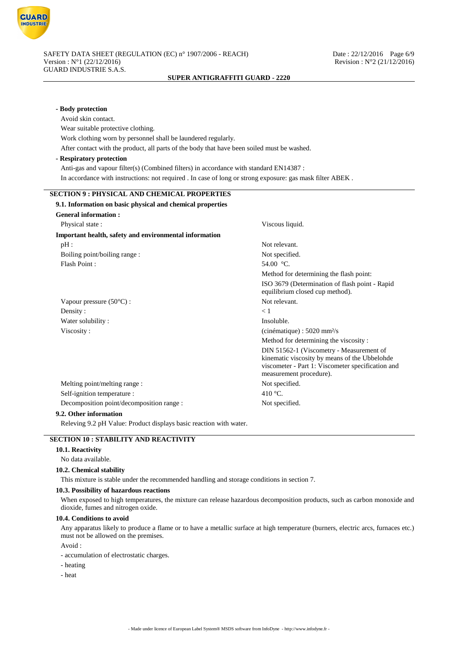

| - Body protection                                                                                         |                                                                                                                                                                           |
|-----------------------------------------------------------------------------------------------------------|---------------------------------------------------------------------------------------------------------------------------------------------------------------------------|
| Avoid skin contact.                                                                                       |                                                                                                                                                                           |
| Wear suitable protective clothing.                                                                        |                                                                                                                                                                           |
| Work clothing worn by personnel shall be laundered regularly.                                             |                                                                                                                                                                           |
| After contact with the product, all parts of the body that have been soiled must be washed.               |                                                                                                                                                                           |
| - Respiratory protection                                                                                  |                                                                                                                                                                           |
| Anti-gas and vapour filter(s) (Combined filters) in accordance with standard EN14387 :                    |                                                                                                                                                                           |
| In accordance with instructions: not required . In case of long or strong exposure: gas mask filter ABEK. |                                                                                                                                                                           |
| <b>SECTION 9: PHYSICAL AND CHEMICAL PROPERTIES</b>                                                        |                                                                                                                                                                           |
| 9.1. Information on basic physical and chemical properties                                                |                                                                                                                                                                           |
| <b>General information:</b>                                                                               |                                                                                                                                                                           |
| Physical state:                                                                                           | Viscous liquid.                                                                                                                                                           |
| Important health, safety and environmental information                                                    |                                                                                                                                                                           |
| $pH$ :                                                                                                    | Not relevant.                                                                                                                                                             |
| Boiling point/boiling range:                                                                              | Not specified.                                                                                                                                                            |
| Flash Point:                                                                                              | 54.00 $^{\circ}$ C.                                                                                                                                                       |
|                                                                                                           | Method for determining the flash point:                                                                                                                                   |
|                                                                                                           | ISO 3679 (Determination of flash point - Rapid<br>equilibrium closed cup method).                                                                                         |
| Vapour pressure $(50^{\circ}C)$ :                                                                         | Not relevant.                                                                                                                                                             |
| Density:                                                                                                  | $\lt 1$                                                                                                                                                                   |
| Water solubility:                                                                                         | Insoluble.                                                                                                                                                                |
| Viscosity:                                                                                                | $(cinématique): 5020$ mm <sup>2</sup> /s                                                                                                                                  |
|                                                                                                           | Method for determining the viscosity:                                                                                                                                     |
|                                                                                                           | DIN 51562-1 (Viscometry - Measurement of<br>kinematic viscosity by means of the Ubbelohde<br>viscometer - Part 1: Viscometer specification and<br>measurement procedure). |
| Melting point/melting range :                                                                             | Not specified.                                                                                                                                                            |
| Self-ignition temperature :                                                                               | 410 $\degree$ C.                                                                                                                                                          |
| Decomposition point/decomposition range :                                                                 | Not specified.                                                                                                                                                            |
| 9.2. Other information                                                                                    |                                                                                                                                                                           |
| Releving 9.2 pH Value: Product displays basic reaction with water.                                        |                                                                                                                                                                           |
|                                                                                                           |                                                                                                                                                                           |

## **SECTION 10 : STABILITY AND REACTIVITY**

## **10.1. Reactivity**

No data available.

## **10.2. Chemical stability**

This mixture is stable under the recommended handling and storage conditions in section 7.

## **10.3. Possibility of hazardous reactions**

When exposed to high temperatures, the mixture can release hazardous decomposition products, such as carbon monoxide and dioxide, fumes and nitrogen oxide.

## **10.4. Conditions to avoid**

Any apparatus likely to produce a flame or to have a metallic surface at high temperature (burners, electric arcs, furnaces etc.) must not be allowed on the premises.

Avoid :

- accumulation of electrostatic charges.
- heating
- heat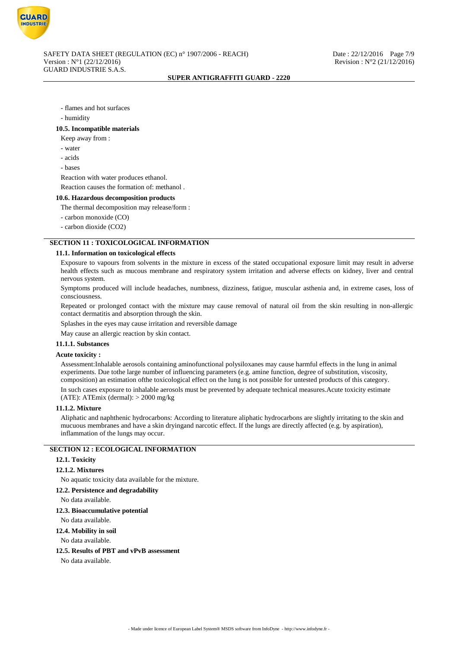

- flames and hot surfaces
- humidity

#### **10.5. Incompatible materials**

Keep away from :

- water
- acids
- bases

Reaction with water produces ethanol.

Reaction causes the formation of: methanol .

### **10.6. Hazardous decomposition products**

The thermal decomposition may release/form :

- carbon monoxide (CO)
- carbon dioxide (CO2)

# **SECTION 11 : TOXICOLOGICAL INFORMATION**

## **11.1. Information on toxicological effects**

Exposure to vapours from solvents in the mixture in excess of the stated occupational exposure limit may result in adverse health effects such as mucous membrane and respiratory system irritation and adverse effects on kidney, liver and central nervous system.

Symptoms produced will include headaches, numbness, dizziness, fatigue, muscular asthenia and, in extreme cases, loss of consciousness.

Repeated or prolonged contact with the mixture may cause removal of natural oil from the skin resulting in non-allergic contact dermatitis and absorption through the skin.

Splashes in the eyes may cause irritation and reversible damage

May cause an allergic reaction by skin contact.

## **11.1.1. Substances**

## **Acute toxicity :**

Assessment:Inhalable aerosols containing aminofunctional polysiloxanes may cause harmful effects in the lung in animal experiments. Due tothe large number of influencing parameters (e.g. amine function, degree of substitution, viscosity, composition) an estimation ofthe toxicological effect on the lung is not possible for untested products of this category. In such cases exposure to inhalable aerosols must be prevented by adequate technical measures.Acute toxicity estimate (ATE): ATEmix (dermal):  $> 2000$  mg/kg

### **11.1.2. Mixture**

Aliphatic and naphthenic hydrocarbons: According to literature aliphatic hydrocarbons are slightly irritating to the skin and mucuous membranes and have a skin dryingand narcotic effect. If the lungs are directly affected (e.g. by aspiration), inflammation of the lungs may occur.

## **SECTION 12 : ECOLOGICAL INFORMATION**

### **12.1. Toxicity**

### **12.1.2. Mixtures**

No aquatic toxicity data available for the mixture.

#### **12.2. Persistence and degradability**

No data available.

## **12.3. Bioaccumulative potential**

No data available.

### **12.4. Mobility in soil**

No data available.

### **12.5. Results of PBT and vPvB assessment**

No data available.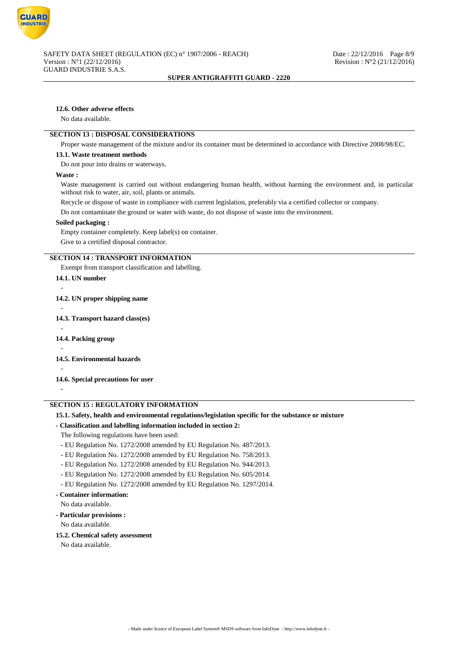

## **12.6. Other adverse effects**

No data available.

## **SECTION 13 : DISPOSAL CONSIDERATIONS**

Proper waste management of the mixture and/or its container must be determined in accordance with Directive 2008/98/EC.

### **13.1. Waste treatment methods**

Do not pour into drains or waterways.

### **Waste :**

Waste management is carried out without endangering human health, without harming the environment and, in particular without risk to water, air, soil, plants or animals.

Recycle or dispose of waste in compliance with current legislation, preferably via a certified collector or company. Do not contaminate the ground or water with waste, do not dispose of waste into the environment.

#### **Soiled packaging :**

Empty container completely. Keep label(s) on container. Give to a certified disposal contractor.

## **SECTION 14 : TRANSPORT INFORMATION**

Exempt from transport classification and labelling.

## **14.1. UN number**

-

- **14.2. UN proper shipping name** - **14.3. Transport hazard class(es)** - **14.4. Packing group** - **14.5. Environmental hazards** - **14.6. Special precautions for user**

## **SECTION 15 : REGULATORY INFORMATION**

### **15.1. Safety, health and environmental regulations/legislation specific for the substance or mixture**

### **- Classification and labelling information included in section 2:**

The following regulations have been used:

- EU Regulation No. 1272/2008 amended by EU Regulation No. 487/2013.
- EU Regulation No. 1272/2008 amended by EU Regulation No. 758/2013.
- EU Regulation No. 1272/2008 amended by EU Regulation No. 944/2013.
- EU Regulation No. 1272/2008 amended by EU Regulation No. 605/2014.
- EU Regulation No. 1272/2008 amended by EU Regulation No. 1297/2014.

### **- Container information:**

No data available.

**- Particular provisions :**

No data available.

## **15.2. Chemical safety assessment**

No data available.